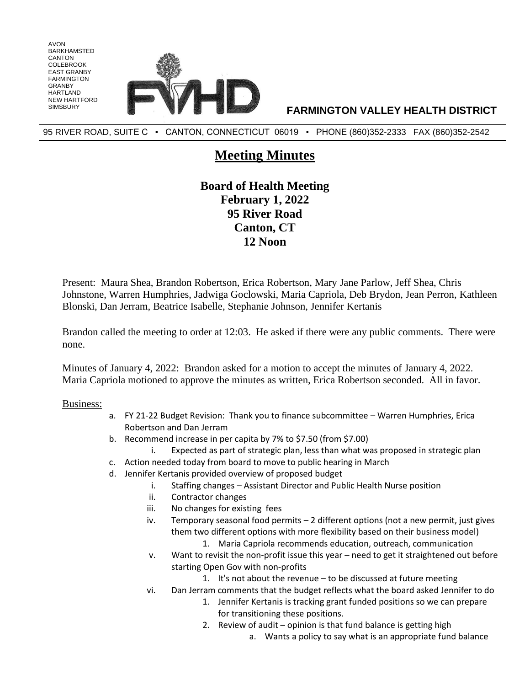

95 RIVER ROAD, SUITE C · CANTON, CONNECTICUT 06019 · PHONE (860)352-2333 FAX (860)352-2542

## **Meeting Minutes**

**Board of Health Meeting February 1, 2022 95 River Road Canton, CT 12 Noon**

Present: Maura Shea, Brandon Robertson, Erica Robertson, Mary Jane Parlow, Jeff Shea, Chris Johnstone, Warren Humphries, Jadwiga Goclowski, Maria Capriola, Deb Brydon, Jean Perron, Kathleen Blonski, Dan Jerram, Beatrice Isabelle, Stephanie Johnson, Jennifer Kertanis

Brandon called the meeting to order at 12:03. He asked if there were any public comments. There were none.

Minutes of January 4, 2022: Brandon asked for a motion to accept the minutes of January 4, 2022. Maria Capriola motioned to approve the minutes as written, Erica Robertson seconded. All in favor.

## Business:

AVON BARKHAMSTED CANTON COLEBROOK EAST GRANBY FARMINGTON GRANBY HARTI AND NEW HARTFORD

- a. FY 21-22 Budget Revision: Thank you to finance subcommittee Warren Humphries, Erica Robertson and Dan Jerram
- b. Recommend increase in per capita by 7% to \$7.50 (from \$7.00)
	- i. Expected as part of strategic plan, less than what was proposed in strategic plan
- c. Action needed today from board to move to public hearing in March
- d. Jennifer Kertanis provided overview of proposed budget
	- i. Staffing changes Assistant Director and Public Health Nurse position
	- ii. Contractor changes
	- iii. No changes for existing fees
	- iv. Temporary seasonal food permits 2 different options (not a new permit, just gives them two different options with more flexibility based on their business model)
		- 1. Maria Capriola recommends education, outreach, communication
	- v. Want to revisit the non-profit issue this year need to get it straightened out before starting Open Gov with non-profits
		- 1. It's not about the revenue to be discussed at future meeting
	- vi. Dan Jerram comments that the budget reflects what the board asked Jennifer to do
		- 1. Jennifer Kertanis is tracking grant funded positions so we can prepare for transitioning these positions.
		- 2. Review of audit opinion is that fund balance is getting high
			- a. Wants a policy to say what is an appropriate fund balance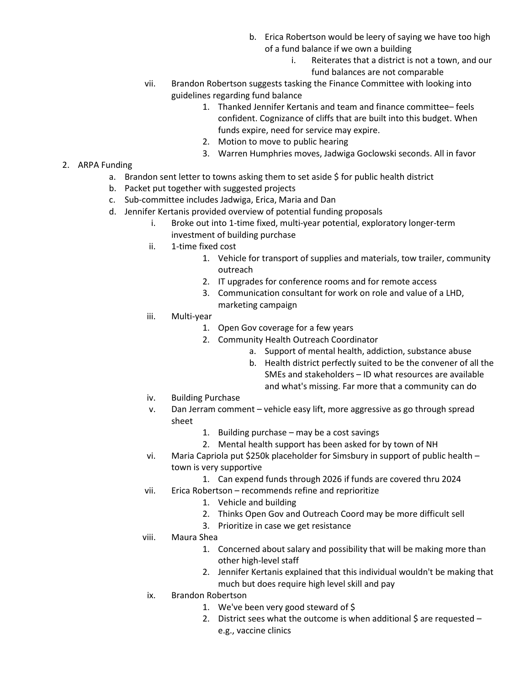- b. Erica Robertson would be leery of saying we have too high of a fund balance if we own a building
	- i. Reiterates that a district is not a town, and our fund balances are not comparable
- vii. Brandon Robertson suggests tasking the Finance Committee with looking into guidelines regarding fund balance
	- 1. Thanked Jennifer Kertanis and team and finance committee– feels confident. Cognizance of cliffs that are built into this budget. When funds expire, need for service may expire.
	- 2. Motion to move to public hearing
	- 3. Warren Humphries moves, Jadwiga Goclowski seconds. All in favor

## 2. ARPA Funding

- a. Brandon sent letter to towns asking them to set aside \$ for public health district
- b. Packet put together with suggested projects
- c. Sub-committee includes Jadwiga, Erica, Maria and Dan
- d. Jennifer Kertanis provided overview of potential funding proposals
	- i. Broke out into 1-time fixed, multi-year potential, exploratory longer-term investment of building purchase
	- ii. 1-time fixed cost
		- 1. Vehicle for transport of supplies and materials, tow trailer, community outreach
		- 2. IT upgrades for conference rooms and for remote access
		- 3. Communication consultant for work on role and value of a LHD, marketing campaign
	- iii. Multi-year
		- 1. Open Gov coverage for a few years
		- 2. Community Health Outreach Coordinator
			- a. Support of mental health, addiction, substance abuse
			- b. Health district perfectly suited to be the convener of all the SMEs and stakeholders – ID what resources are available and what's missing. Far more that a community can do
	- iv. Building Purchase
	- v. Dan Jerram comment vehicle easy lift, more aggressive as go through spread sheet
		- 1. Building purchase may be a cost savings
		- 2. Mental health support has been asked for by town of NH
	- vi. Maria Capriola put \$250k placeholder for Simsbury in support of public health town is very supportive
		- 1. Can expend funds through 2026 if funds are covered thru 2024
	- vii. Erica Robertson recommends refine and reprioritize
		- 1. Vehicle and building
		- 2. Thinks Open Gov and Outreach Coord may be more difficult sell
		- 3. Prioritize in case we get resistance
	- viii. Maura Shea
		- 1. Concerned about salary and possibility that will be making more than other high-level staff
		- 2. Jennifer Kertanis explained that this individual wouldn't be making that much but does require high level skill and pay
	- ix. Brandon Robertson
		- 1. We've been very good steward of \$
		- 2. District sees what the outcome is when additional  $\zeta$  are requested e.g., vaccine clinics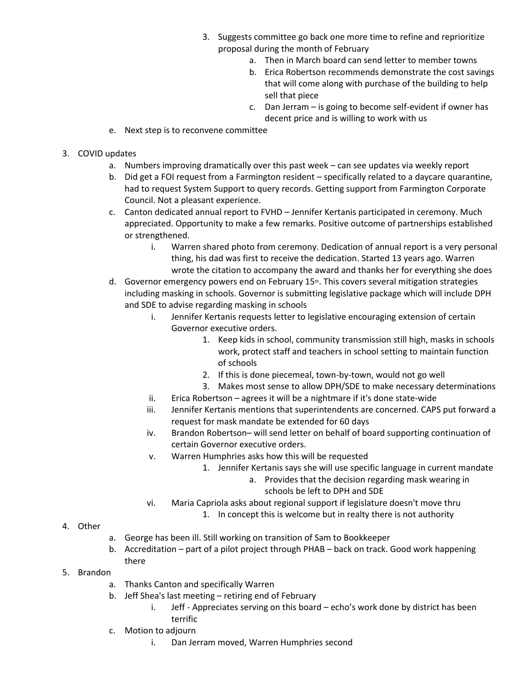- 3. Suggests committee go back one more time to refine and reprioritize proposal during the month of February
	- a. Then in March board can send letter to member towns
	- b. Erica Robertson recommends demonstrate the cost savings that will come along with purchase of the building to help sell that piece
	- c. Dan Jerram is going to become self-evident if owner has decent price and is willing to work with us
- e. Next step is to reconvene committee
- 3. COVID updates
	- a. Numbers improving dramatically over this past week can see updates via weekly report
	- b. Did get a FOI request from a Farmington resident specifically related to a daycare quarantine, had to request System Support to query records. Getting support from Farmington Corporate Council. Not a pleasant experience.
	- c. Canton dedicated annual report to FVHD Jennifer Kertanis participated in ceremony. Much appreciated. Opportunity to make a few remarks. Positive outcome of partnerships established or strengthened.
		- i. Warren shared photo from ceremony. Dedication of annual report is a very personal thing, his dad was first to receive the dedication. Started 13 years ago. Warren wrote the citation to accompany the award and thanks her for everything she does
	- d. Governor emergency powers end on February 15<sup>th</sup>. This covers several mitigation strategies including masking in schools. Governor is submitting legislative package which will include DPH and SDE to advise regarding masking in schools
		- i. Jennifer Kertanis requests letter to legislative encouraging extension of certain Governor executive orders.
			- 1. Keep kids in school, community transmission still high, masks in schools work, protect staff and teachers in school setting to maintain function of schools
			- 2. If this is done piecemeal, town-by-town, would not go well
			- 3. Makes most sense to allow DPH/SDE to make necessary determinations
		- ii. Erica Robertson agrees it will be a nightmare if it's done state-wide
		- iii. Jennifer Kertanis mentions that superintendents are concerned. CAPS put forward a request for mask mandate be extended for 60 days
		- iv. Brandon Robertson– will send letter on behalf of board supporting continuation of certain Governor executive orders.
		- v. Warren Humphries asks how this will be requested
			- 1. Jennifer Kertanis says she will use specific language in current mandate
				- a. Provides that the decision regarding mask wearing in schools be left to DPH and SDE
		- vi. Maria Capriola asks about regional support if legislature doesn't move thru
			- 1. In concept this is welcome but in realty there is not authority
- 4. Other
- a. George has been ill. Still working on transition of Sam to Bookkeeper
- b. Accreditation part of a pilot project through PHAB back on track. Good work happening there
- 5. Brandon
	- a. Thanks Canton and specifically Warren
	- b. Jeff Shea's last meeting retiring end of February
		- i. Jeff Appreciates serving on this board echo's work done by district has been terrific
	- c. Motion to adjourn
		- i. Dan Jerram moved, Warren Humphries second